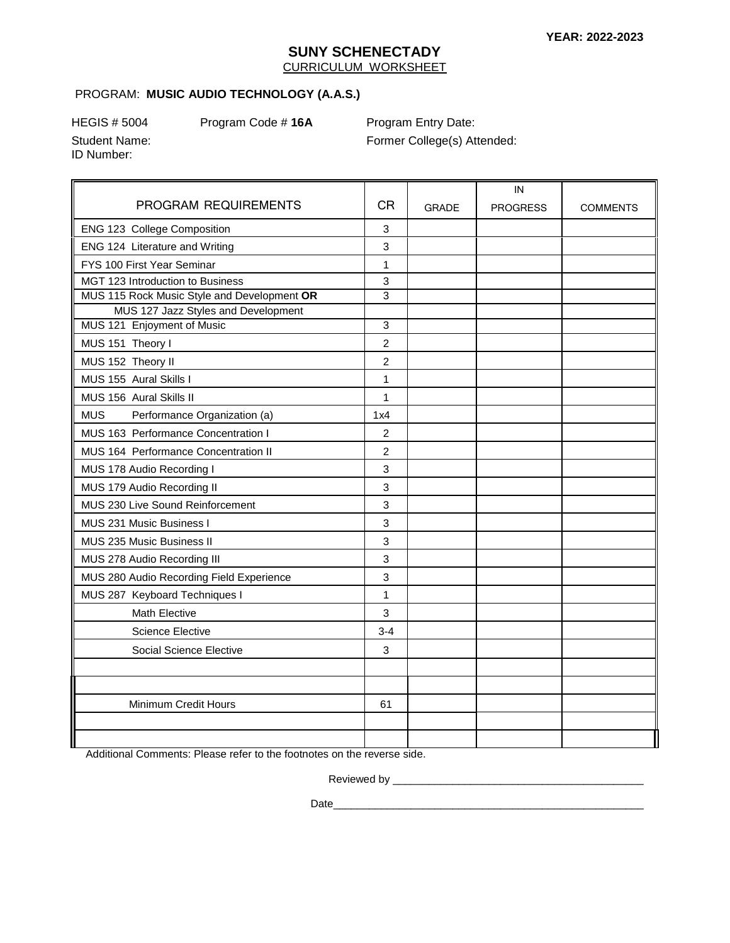### **SUNY SCHENECTADY**  CURRICULUM WORKSHEET

#### PROGRAM: **MUSIC AUDIO TECHNOLOGY (A.A.S.)**

ID Number:

HEGIS # 5004 Program Code # **16A** Program Entry Date:

Student Name: Former College(s) Attended:

**MUS**  $\mathbf{3}$ PROGRAM REQUIREMENTS | CR | GRADE IN PROGRESS | COMMENTS ENG 123 College Composition **3** 3 ENG 124 Literature and Writing **3 3** FYS 100 First Year Seminar 1 1 MGT 123 Introduction to Business **3** 3 MUS 115 Rock Music Style and Development **OR** 3 MUS 127 Jazz Styles and Development MUS 121 Enjoyment of Music **3** 3 MUS 151 Theory I 2 MUS 152 Theory II 2 MUS 155 Aural Skills I 1 MUS 156 Aural Skills II 1 Performance Organization (a) 1x4 MUS 163 Performance Concentration I 2 MUS 164 Performance Concentration II 2 MUS 178 Audio Recording I 3 MUS 179 Audio Recording II 3 MUS 230 Live Sound Reinforcement 3 MUS 231 Music Business I 3 MUS 235 Music Business II 3 MUS 278 Audio Recording III 3 MUS 280 Audio Recording Field Experience 1997 3<br>MUS 287 Keyboard Techniques I Math Elective 2012 1 3 Science Elective 2012 1 3-4 Social Science Elective 3 Minimum Credit Hours **61** 

Additional Comments: Please refer to the footnotes on the reverse side.

Reviewed by \_\_\_\_\_\_\_\_\_\_\_\_\_\_\_\_\_\_\_\_\_\_\_\_\_\_\_\_\_\_\_\_\_\_\_\_\_\_\_\_\_\_

Date